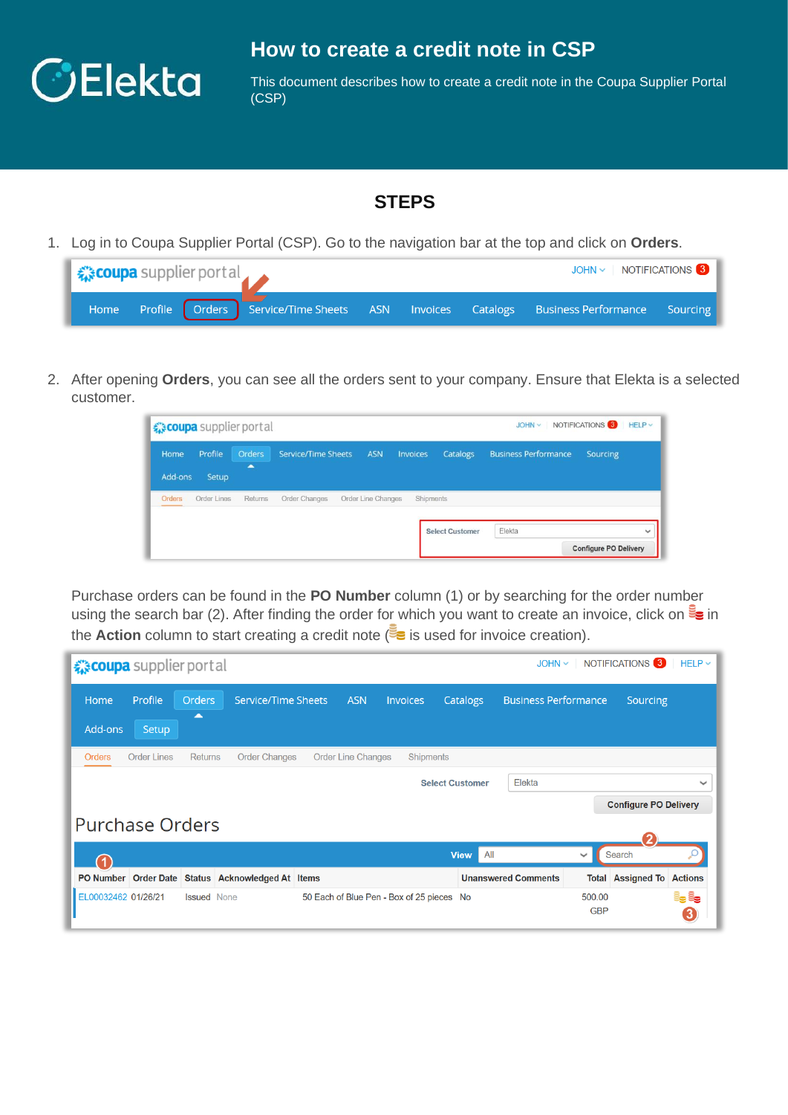

## **How to create a credit note in CSP**

This document describes how to create a credit note in the Coupa Supplier Portal (CSP)

## **STEPS**

1. Log in to Coupa Supplier Portal (CSP). Go to the navigation bar at the top and click on **Orders**.

| <b>《 coupa</b> supplier portal |  |  |  |  |  | $JOHN \sim$ NOTIFICATIONS                                                                   |  |
|--------------------------------|--|--|--|--|--|---------------------------------------------------------------------------------------------|--|
|                                |  |  |  |  |  | Home Profile Orders Service/Time Sheets ASN Invoices Catalogs Business Performance Sourcing |  |

2. After opening **Orders**, you can see all the orders sent to your company. Ensure that Elekta is a selected customer.

|                 | € coupa supplier portal |                                           |                            |                    |                 |                        | $JOHN \sim$                 | NOTIFICATIONS $\bullet$ HELP $\sim$ |              |
|-----------------|-------------------------|-------------------------------------------|----------------------------|--------------------|-----------------|------------------------|-----------------------------|-------------------------------------|--------------|
| Home<br>Add-ons | Profile<br>Setup        | <b>Orders</b><br>$\overline{\phantom{a}}$ | <b>Service/Time Sheets</b> | <b>ASN</b>         | <b>Invoices</b> | Catalogs               | <b>Business Performance</b> | Sourcing                            |              |
| Orders          | <b>Order Lines</b>      | Returns                                   | Order Changes              | Order Line Changes | Shipments       |                        |                             |                                     |              |
|                 |                         |                                           |                            |                    |                 | <b>Select Customer</b> | Elekta                      | <b>Configure PO Delivery</b>        | $\checkmark$ |

Purchase orders can be found in the **PO Number** column (1) or by searching for the order number using the search bar (2). After finding the order for which you want to create an invoice, click on  $\mathbb{F}_{\bullet}$  in the **Action** column to start creating a credit note  $\leq$  is used for invoice creation).

|                        | NOTIFICATIONS <sup>3</sup><br>$HELP \sim$<br><i>द</i> ूः coupa supplier portal<br>$JOHN \sim$ |                    |                                     |  |                           |                                           |             |     |                             |                      |                              |            |
|------------------------|-----------------------------------------------------------------------------------------------|--------------------|-------------------------------------|--|---------------------------|-------------------------------------------|-------------|-----|-----------------------------|----------------------|------------------------------|------------|
| Home                   | Profile                                                                                       | <b>Orders</b><br>▴ | Service/Time Sheets                 |  | <b>ASN</b>                | <b>Invoices</b>                           | Catalogs    |     | <b>Business Performance</b> |                      | Sourcing                     |            |
| Add-ons                | Setup                                                                                         |                    |                                     |  |                           |                                           |             |     |                             |                      |                              |            |
| <b>Orders</b>          | <b>Order Lines</b>                                                                            | <b>Returns</b>     | <b>Order Changes</b>                |  | <b>Order Line Changes</b> | <b>Shipments</b>                          |             |     |                             |                      |                              |            |
|                        | Elekta<br><b>Select Customer</b>                                                              |                    |                                     |  |                           |                                           |             |     | $\checkmark$                |                      |                              |            |
|                        |                                                                                               |                    |                                     |  |                           |                                           |             |     |                             |                      | <b>Configure PO Delivery</b> |            |
| <b>Purchase Orders</b> |                                                                                               |                    |                                     |  |                           |                                           |             |     |                             |                      |                              |            |
|                        |                                                                                               |                    |                                     |  |                           |                                           | <b>View</b> | All |                             | $\checkmark$         | Search                       |            |
| PO Number Order Date   |                                                                                               |                    | <b>Status</b> Acknowledged At Items |  |                           |                                           |             |     | <b>Unanswered Comments</b>  | Total                | <b>Assigned To Actions</b>   |            |
| EL00032462 01/26/21    |                                                                                               | <b>Issued</b> None |                                     |  |                           | 50 Each of Blue Pen - Box of 25 pieces No |             |     |                             | 500.00<br><b>GBP</b> |                              | e, e,<br>3 |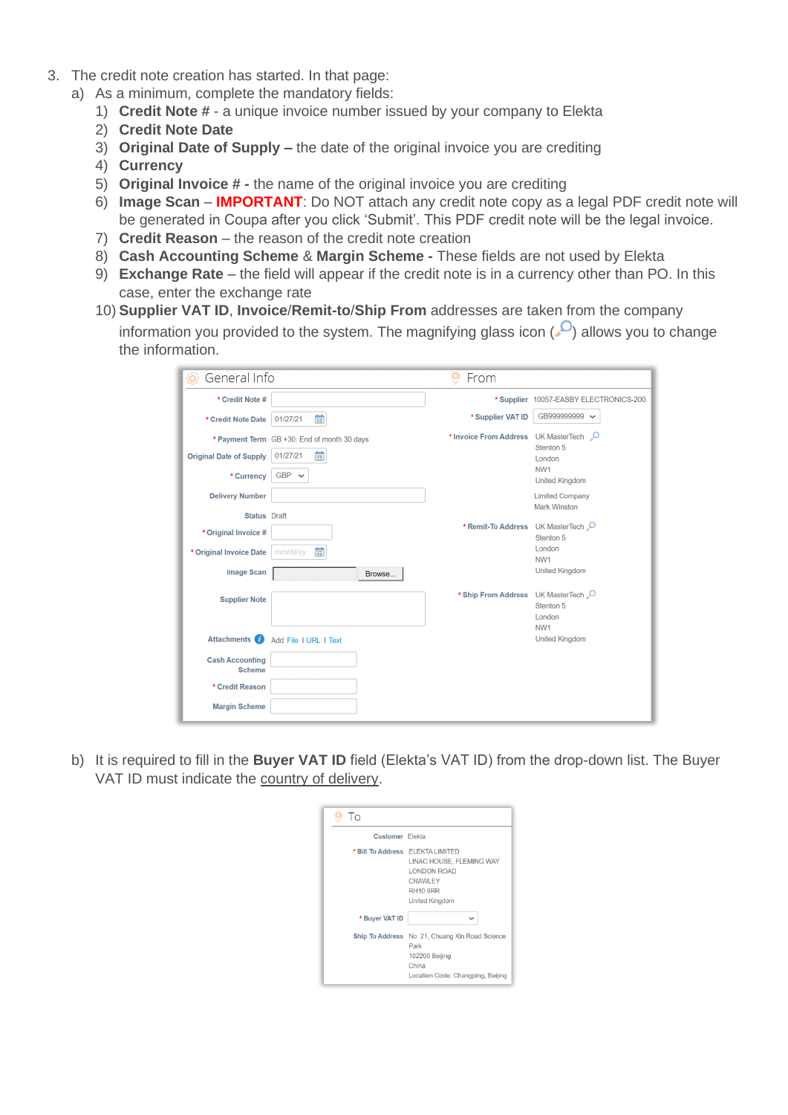- 3. The credit note creation has started. In that page:
	- a) As a minimum, complete the mandatory fields:
		- 1) **Credit Note #** a unique invoice number issued by your company to Elekta
		- 2) **Credit Note Date**
		- 3) **Original Date of Supply –** the date of the original invoice you are crediting
		- 4) **Currency**
		- 5) **Original Invoice # -** the name of the original invoice you are crediting
		- 6) **Image Scan IMPORTANT**: Do NOT attach any credit note copy as a legal PDF credit note will be generated in Coupa after you click 'Submit'. This PDF credit note will be the legal invoice.
		- 7) **Credit Reason**  the reason of the credit note creation
		- 8) **Cash Accounting Scheme** & **Margin Scheme -** These fields are not used by Elekta
		- 9) **Exchange Rate** the field will appear if the credit note is in a currency other than PO. In this case, enter the exchange rate
		- 10) **Supplier VAT ID**, **Invoice**/**Remit-to**/**Ship From** addresses are taken from the company information you provided to the system. The magnifying glass icon  $(0)$  allows you to change the information.

| {Ö}<br>General Info                     |                                             | $\circledcirc$<br>From                 |                                          |
|-----------------------------------------|---------------------------------------------|----------------------------------------|------------------------------------------|
| * Credit Note #                         |                                             |                                        | * Supplier 10057-EASBY ELECTRONICS-200   |
| * Credit Note Date                      | 當<br>01/27/21                               | * Supplier VAT ID                      | GB999999999<br>$\checkmark$              |
|                                         | * Payment Term GB +30: End of month 30 days | * Invoice From Address UK MasterTech C | Stenton 5                                |
| <b>Original Date of Supply</b>          | 蘁<br>01/27/21                               |                                        | London                                   |
| * Currency                              | $GBP \sim$                                  |                                        | NW <sub>1</sub><br><b>United Kingdom</b> |
| <b>Delivery Number</b>                  |                                             |                                        | <b>Limited Company</b>                   |
| <b>Status</b> Draft                     |                                             |                                        | <b>Mark Winston</b>                      |
| * Original Invoice #                    |                                             | * Remit-To Address UK MasterTech       | Stenton 5                                |
| * Original Invoice Date                 | 曲<br>mm/dd/yy                               |                                        | London<br>NW <sub>1</sub>                |
| <b>Image Scan</b>                       | Browse                                      |                                        | <b>United Kingdom</b>                    |
| <b>Supplier Note</b>                    |                                             | * Ship From Address UK MasterTech      | Stenton 5<br>London<br>NW <sub>1</sub>   |
| <b>Attachments</b>                      | Add File I URL I Text                       |                                        | <b>United Kingdom</b>                    |
| <b>Cash Accounting</b><br><b>Scheme</b> |                                             |                                        |                                          |
| * Credit Reason                         |                                             |                                        |                                          |
| <b>Margin Scheme</b>                    |                                             |                                        |                                          |

b) It is required to fill in the **Buyer VAT ID** field (Elekta's VAT ID) from the drop-down list. The Buyer VAT ID must indicate the country of delivery.

| To                     |                                                                                                                                                  |
|------------------------|--------------------------------------------------------------------------------------------------------------------------------------------------|
| <b>Customer</b> Elekta |                                                                                                                                                  |
|                        | * Bill To Address ELEKTA LIMITED<br>LINAC HOUSE. FLEMING WAY<br><b>LONDON ROAD</b><br><b>CRAWLEY</b><br><b>RH10 9RR</b><br><b>United Kingdom</b> |
| * Buyer VAT ID         |                                                                                                                                                  |
| <b>Ship To Address</b> | No. 21, Chuang Xin Road Science<br>Park<br>102200 Beijing<br>China<br>Location Code: Changping, Beijing                                          |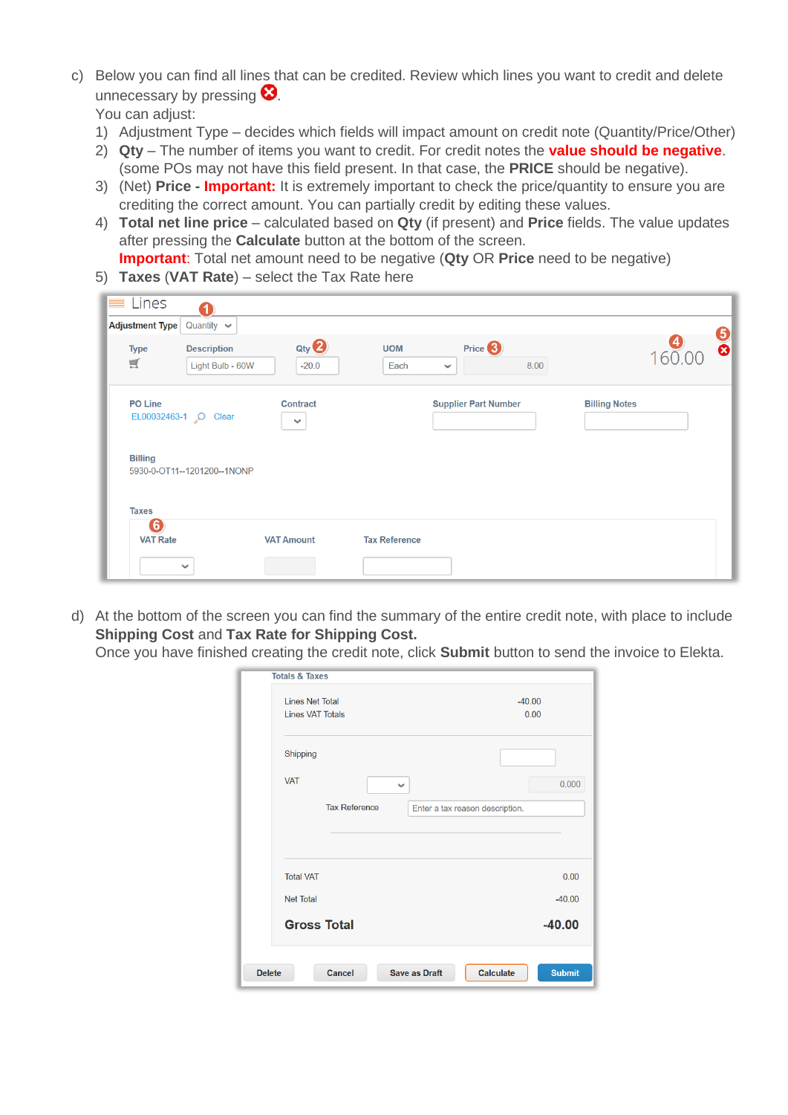c) Below you can find all lines that can be credited. Review which lines you want to credit and delete unnecessary by pressing  $\mathbf{\Omega}$ .

You can adjust:

- 1) Adjustment Type decides which fields will impact amount on credit note (Quantity/Price/Other)
- 2) **Qty** The number of items you want to credit. For credit notes the **value should be negative**. (some POs may not have this field present. In that case, the **PRICE** should be negative).
- 3) (Net) **Price - Important:** It is extremely important to check the price/quantity to ensure you are crediting the correct amount. You can partially credit by editing these values.
- 4) **Total net line price** calculated based on **Qty** (if present) and **Price** fields. The value updates after pressing the **Calculate** button at the bottom of the screen.

**Important**: Total net amount need to be negative (**Qty** OR **Price** need to be negative)

5) **Taxes** (**VAT Rate**) – select the Tax Rate here

|              | Lines                          | 1                                      |                                 |                      |                                    |      |                      |     |          |
|--------------|--------------------------------|----------------------------------------|---------------------------------|----------------------|------------------------------------|------|----------------------|-----|----------|
|              | <b>Adjustment Type</b>         | Quantity $\sim$                        |                                 |                      |                                    |      |                      |     |          |
| $\mathbb{R}$ | <b>Type</b>                    | <b>Description</b><br>Light Bulb - 60W | $Q$ ty $Q$<br>$-20.0$           | <b>UOM</b><br>Each   | Price <sup>3</sup><br>$\checkmark$ | 8.00 |                      | 160 | <u>ේ</u> |
|              | <b>PO Line</b><br>EL00032463-1 | Clear                                  | <b>Contract</b><br>$\checkmark$ |                      | <b>Supplier Part Number</b>        |      | <b>Billing Notes</b> |     |          |
|              | <b>Billing</b>                 | 5930-0-OT11--1201200--1NONP            |                                 |                      |                                    |      |                      |     |          |
|              | <b>Taxes</b>                   |                                        |                                 |                      |                                    |      |                      |     |          |
|              | 6)<br><b>VAT Rate</b>          |                                        | <b>VAT Amount</b>               | <b>Tax Reference</b> |                                    |      |                      |     |          |
|              |                                | $\checkmark$                           |                                 |                      |                                    |      |                      |     |          |

d) At the bottom of the screen you can find the summary of the entire credit note, with place to include **Shipping Cost** and **Tax Rate for Shipping Cost.**

|  | Once you have finished creating the credit note, click Submit button to send the invoice to Elekta. |
|--|-----------------------------------------------------------------------------------------------------|
|  |                                                                                                     |

|               | <b>Totals &amp; Taxes</b>                               |                                   |
|---------------|---------------------------------------------------------|-----------------------------------|
|               | <b>Lines Net Total</b>                                  | $-40.00$                          |
|               | <b>Lines VAT Totals</b>                                 | 0.00                              |
|               | Shipping                                                |                                   |
|               | <b>VAT</b><br>$\checkmark$                              | 0.000                             |
|               | <b>Tax Reference</b><br>Enter a tax reason description. |                                   |
|               |                                                         |                                   |
|               | <b>Total VAT</b>                                        | 0.00                              |
|               | <b>Net Total</b>                                        | $-40.00$                          |
|               | <b>Gross Total</b>                                      | $-40.00$                          |
| <b>Delete</b> | Cancel<br><b>Save as Draft</b>                          | <b>Submit</b><br><b>Calculate</b> |